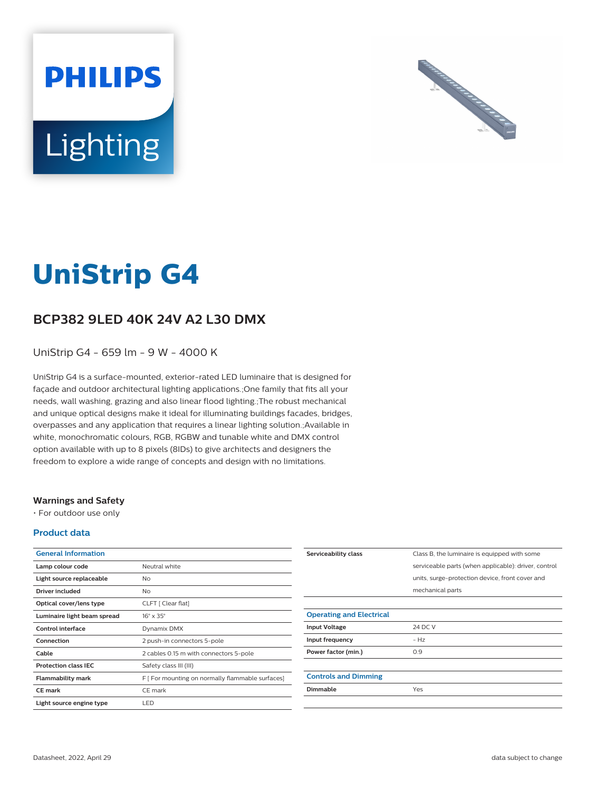



# **UniStrip G4**

# **BCP382 9LED 40K 24V A2 L30 DMX**

UniStrip G4 - 659 lm - 9 W - 4000 K

UniStrip G4 is a surface-mounted, exterior-rated LED luminaire that is designed for façade and outdoor architectural lighting applications.;One family that fits all your needs, wall washing, grazing and also linear flood lighting.;The robust mechanical and unique optical designs make it ideal for illuminating buildings facades, bridges, overpasses and any application that requires a linear lighting solution.;Available in white, monochromatic colours, RGB, RGBW and tunable white and DMX control option available with up to 8 pixels (8IDs) to give architects and designers the freedom to explore a wide range of concepts and design with no limitations.

## **Warnings and Safety**

• For outdoor use only

## **Product data**

| <b>General Information</b>  |                                                  |
|-----------------------------|--------------------------------------------------|
| Lamp colour code            | Neutral white                                    |
| Light source replaceable    | No                                               |
| Driver included             | N <sub>o</sub>                                   |
| Optical cover/lens type     | CLFT [ Clear flat]                               |
| Luminaire light beam spread | $16^\circ \times 35^\circ$                       |
| Control interface           | Dynamix DMX                                      |
| Connection                  | 2 push-in connectors 5-pole                      |
| Cable                       | 2 cables 0.15 m with connectors 5-pole           |
| <b>Protection class IEC</b> | Safety class III (III)                           |
| <b>Flammability mark</b>    | F [ For mounting on normally flammable surfaces] |
| <b>CE</b> mark              | CE mark                                          |
| Light source engine type    | LED                                              |

| Serviceability class            | Class B, the luminaire is equipped with some         |
|---------------------------------|------------------------------------------------------|
|                                 | serviceable parts (when applicable): driver, control |
|                                 | units, surge-protection device, front cover and      |
|                                 | mechanical parts                                     |
|                                 |                                                      |
| <b>Operating and Electrical</b> |                                                      |
| <b>Input Voltage</b>            | 24 DC V                                              |
| Input frequency                 | $- Hz$                                               |
| Power factor (min.)             | 0.9                                                  |
|                                 |                                                      |
| <b>Controls and Dimming</b>     |                                                      |
| Dimmable                        | Yes                                                  |
|                                 |                                                      |